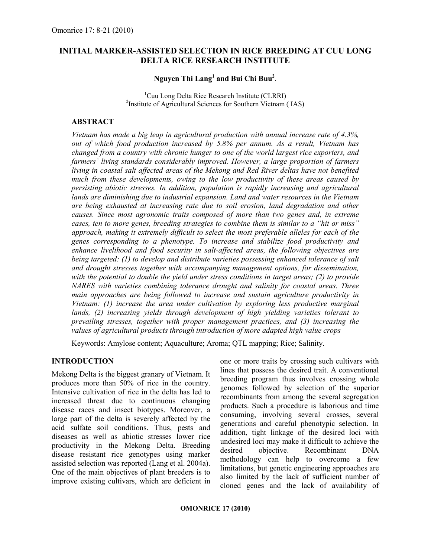## INITIAL MARKER-ASSISTED SELECTION IN RICE BREEDING AT CUU LONG DELTA RICE RESEARCH INSTITUTE

## Nguyen Thi  $\mathrm{Lang}^1$  and Bui Chi Buu $^2$ .

<sup>1</sup>Cuu Long Delta Rice Research Institute (CLRRI) <sup>2</sup>Institute of Agricultural Sciences for Southern Vietnam (IAS)

## ABSTRACT

Vietnam has made a big leap in agricultural production with annual increase rate of 4.3%, out of which food production increased by 5.8% per annum. As a result, Vietnam has changed from a country with chronic hunger to one of the world largest rice exporters, and farmers' living standards considerably improved. However, a large proportion of farmers living in coastal salt affected areas of the Mekong and Red River deltas have not benefited much from these developments, owing to the low productivity of these areas caused by persisting abiotic stresses. In addition, population is rapidly increasing and agricultural lands are diminishing due to industrial expansion. Land and water resources in the Vietnam are being exhausted at increasing rate due to soil erosion, land degradation and other causes. Since most agronomic traits composed of more than two genes and, in extreme cases, ten to more genes, breeding strategies to combine them is similar to a "hit or miss" approach, making it extremely difficult to select the most preferable alleles for each of the genes corresponding to a phenotype. To increase and stabilize food productivity and enhance livelihood and food security in salt-affected areas, the following objectives are being targeted: (1) to develop and distribute varieties possessing enhanced tolerance of salt and drought stresses together with accompanying management options, for dissemination, with the potential to double the yield under stress conditions in target areas; (2) to provide NARES with varieties combining tolerance drought and salinity for coastal areas. Three main approaches are being followed to increase and sustain agriculture productivity in Vietnam: (1) increase the area under cultivation by exploring less productive marginal lands, (2) increasing yields through development of high yielding varieties tolerant to prevailing stresses, together with proper management practices, and (3) increasing the values of agricultural products through introduction of more adapted high value crops

Keywords: Amylose content; Aquaculture; Aroma; QTL mapping; Rice; Salinity.

## INTRODUCTION

Mekong Delta is the biggest granary of Vietnam. It produces more than 50% of rice in the country. Intensive cultivation of rice in the delta has led to increased threat due to continuous changing disease races and insect biotypes. Moreover, a large part of the delta is severely affected by the acid sulfate soil conditions. Thus, pests and diseases as well as abiotic stresses lower rice productivity in the Mekong Delta. Breeding disease resistant rice genotypes using marker assisted selection was reported (Lang et al. 2004a). One of the main objectives of plant breeders is to improve existing cultivars, which are deficient in

one or more traits by crossing such cultivars with lines that possess the desired trait. A conventional breeding program thus involves crossing whole genomes followed by selection of the superior recombinants from among the several segregation products. Such a procedure is laborious and time consuming, involving several crosses, several generations and careful phenotypic selection. In addition, tight linkage of the desired loci with undesired loci may make it difficult to achieve the desired objective. Recombinant DNA methodology can help to overcome a few limitations, but genetic engineering approaches are also limited by the lack of sufficient number of cloned genes and the lack of availability of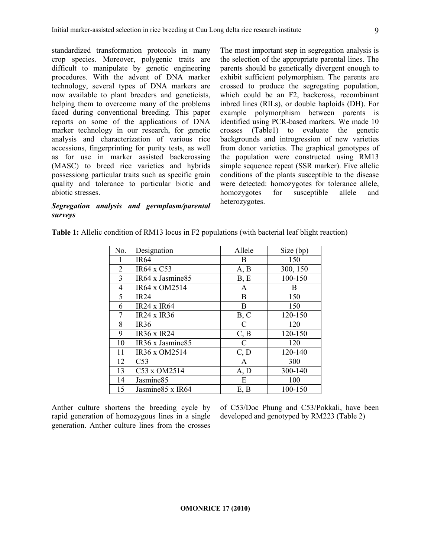standardized transformation protocols in many crop species. Moreover, polygenic traits are difficult to manipulate by genetic engineering procedures. With the advent of DNA marker technology, several types of DNA markers are now available to plant breeders and geneticists, helping them to overcome many of the problems faced during conventional breeding. This paper reports on some of the applications of DNA marker technology in our research, for genetic analysis and characterization of various rice accessions, fingerprinting for purity tests, as well as for use in marker assisted backcrossing (MASC) to breed rice varieties and hybrids possessiong particular traits such as specific grain quality and tolerance to particular biotic and abiotic stresses.

## Segregation analysis and germplasm/parental surveys

The most important step in segregation analysis is the selection of the appropriate parental lines. The parents should be genetically divergent enough to exhibit sufficient polymorphism. The parents are crossed to produce the segregating population, which could be an F2, backcross, recombinant inbred lines (RILs), or double haploids (DH). For example polymorphism between parents is identified using PCR-based markers. We made 10 crosses (Table1) to evaluate the genetic backgrounds and introgression of new varieties from donor varieties. The graphical genotypes of the population were constructed using RM13 simple sequence repeat (SSR marker). Five allelic conditions of the plants susceptible to the disease were detected: homozygotes for tolerance allele, homozygotes for susceptible allele and heterozygotes.

| No.            | Designation           | Allele       | Size (bp) |
|----------------|-----------------------|--------------|-----------|
|                | <b>IR64</b>           | B            | 150       |
| $\overline{2}$ | IR64 x C53            | A, B         | 300, 150  |
| 3              | IR64 x Jasmine85      | B, E         | 100-150   |
| 4              | IR64 x OM2514         | A            | B         |
| 5              | <b>IR24</b>           | B            | 150       |
| 6              | <b>IR24 x IR64</b>    | B            | 150       |
| 7              | $IR24 \times IR36$    | B, C         | 120-150   |
| 8              | <b>IR36</b>           | C            | 120       |
| 9              | <b>IR36 x IR24</b>    | C, B         | 120-150   |
| 10             | IR36 x Jasmine85      | C            | 120       |
| 11             | IR36 x OM2514         | C, D         | 120-140   |
| 12             | C <sub>53</sub>       | $\mathbf{A}$ | 300       |
| 13             | C53 x OM2514          | A, D         | 300-140   |
| 14             | Jasmine <sub>85</sub> | E            | 100       |
| 15             | Jasmine 85 x IR64     | E, B         | 100-150   |

Table 1: Allelic condition of RM13 locus in F2 populations (with bacterial leaf blight reaction)

Anther culture shortens the breeding cycle by rapid generation of homozygous lines in a single generation. Anther culture lines from the crosses of C53/Doc Phung and C53/Pokkali, have been developed and genotyped by RM223 (Table 2)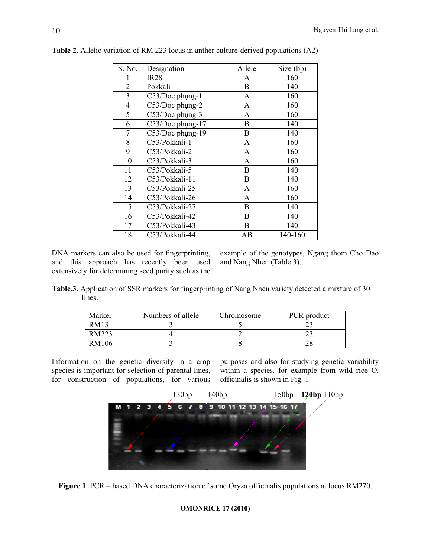| S. No.         | Designation      | Allele         | Size (bp) |
|----------------|------------------|----------------|-----------|
|                | <b>IR28</b>      | A              | 160       |
| $\overline{2}$ | Pokkali          | B              | 140       |
| $\overline{3}$ | C53/Doc phung-1  | A              | 160       |
| $\overline{4}$ | C53/Doc phung-2  | A              | 160       |
| 5              | C53/Doc phung-3  | A              | 160       |
| 6              | C53/Doc phung-17 | B              | 140       |
| 7              | C53/Doc phung-19 | B              | 140       |
| 8              | C53/Pokkali-1    | A              | 160       |
| 9              | C53/Pokkali-2    | $\overline{A}$ | 160       |
| 10             | C53/Pokkali-3    | A              | 160       |
| 11             | C53/Pokkali-5    | B              | 140       |
| 12             | C53/Pokkali-11   | B              | 140       |
| 13             | C53/Pokkali-25   | A              | 160       |
| 14             | C53/Pokkali-26   | A              | 160       |
| 15             | C53/Pokkali-27   | B              | 140       |
| 16             | C53/Pokkali-42   | B              | 140       |
| 17             | C53/Pokkali-43   | B              | 140       |
| 18             | C53/Pokkali-44   | AB             | 140-160   |

Table 2. Allelic variation of RM 223 locus in anther culture-derived populations (A2)

DNA markers can also be used for fingerprinting, and this approach has recently been used extensively for determining seed purity such as the

example of the genotypes, Ngang thom Cho Dao and Nang Nhen (Table 3).

Table.3. Application of SSR markers for fingerprinting of Nang Nhen variety detected a mixture of 30 lines.

| Marker | Numbers of allele | Chromosome | PCR product |
|--------|-------------------|------------|-------------|
| RM13   |                   |            |             |
| RM223  |                   |            |             |
| RM106  |                   |            |             |

Information on the genetic diversity in a crop species is important for selection of parental lines, for construction of populations, for various

purposes and also for studying genetic variability within a species. for example from wild rice O. officinalis is shown in Fig. 1



Figure 1. PCR – based DNA characterization of some Oryza officinalis populations at locus RM270.

### OMONRICE 17 (2010)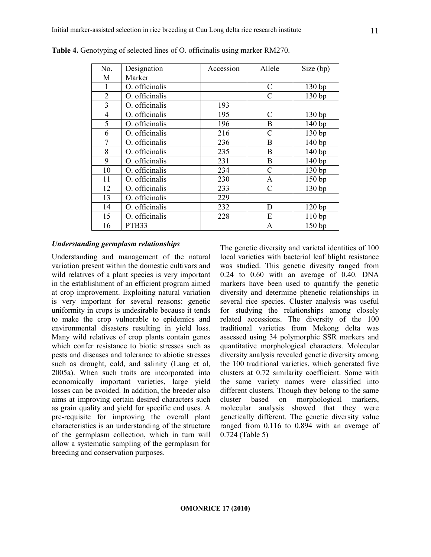| No.            | Designation    | Accession | Allele        | Size (bp) |
|----------------|----------------|-----------|---------------|-----------|
| M              | Marker         |           |               |           |
|                | O. officinalis |           | $\mathcal{C}$ | 130bp     |
| $\overline{2}$ | O. officinalis |           | $\mathcal{C}$ | 130 bp    |
| $\overline{3}$ | O. officinalis | 193       |               |           |
| $\overline{4}$ | O. officinalis | 195       | C             | 130bp     |
| 5              | O. officinalis | 196       | B             | 140 bp    |
| 6              | O. officinalis | 216       | $\mathcal{C}$ | 130 bp    |
| 7              | O. officinalis | 236       | B             | 140 bp    |
| 8              | O. officinalis | 235       | B             | 140 bp    |
| 9              | O. officinalis | 231       | B             | 140 bp    |
| 10             | O. officinalis | 234       | C             | 130bp     |
| 11             | O. officinalis | 230       | A             | 150 bp    |
| 12             | O. officinalis | 233       | C             | 130bp     |
| 13             | O. officinalis | 229       |               |           |
| 14             | O. officinalis | 232       | D             | 120bp     |
| 15             | O. officinalis | 228       | E             | 110bp     |
| 16             | PTB33          |           | A             | 150bp     |

Table 4. Genotyping of selected lines of O. officinalis using marker RM270.

### Understanding germplasm relationships

Understanding and management of the natural variation present within the domestic cultivars and wild relatives of a plant species is very important in the establishment of an efficient program aimed at crop improvement. Exploiting natural variation is very important for several reasons: genetic uniformity in crops is undesirable because it tends to make the crop vulnerable to epidemics and environmental disasters resulting in yield loss. Many wild relatives of crop plants contain genes which confer resistance to biotic stresses such as pests and diseases and tolerance to abiotic stresses such as drought, cold, and salinity (Lang et al, 2005a). When such traits are incorporated into economically important varieties, large yield losses can be avoided. In addition, the breeder also aims at improving certain desired characters such as grain quality and yield for specific end uses. A pre-requisite for improving the overall plant characteristics is an understanding of the structure of the germplasm collection, which in turn will allow a systematic sampling of the germplasm for breeding and conservation purposes.

The genetic diversity and varietal identities of 100 local varieties with bacterial leaf blight resistance was studied. This genetic divesity ranged from 0.24 to 0.60 with an average of 0.40. DNA markers have been used to quantify the genetic diversity and determine phenetic relationships in several rice species. Cluster analysis was useful for studying the relationships among closely related accessions. The diversity of the 100 traditional varieties from Mekong delta was assessed using 34 polymorphic SSR markers and quantitative morphological characters. Molecular diversity analysis revealed genetic diversity among the 100 traditional varieties, which generated five clusters at 0.72 similarity coefficient. Some with the same variety names were classified into different clusters. Though they belong to the same cluster based on morphological markers, molecular analysis showed that they were genetically different. The genetic diversity value ranged from 0.116 to 0.894 with an average of 0.724 (Table 5)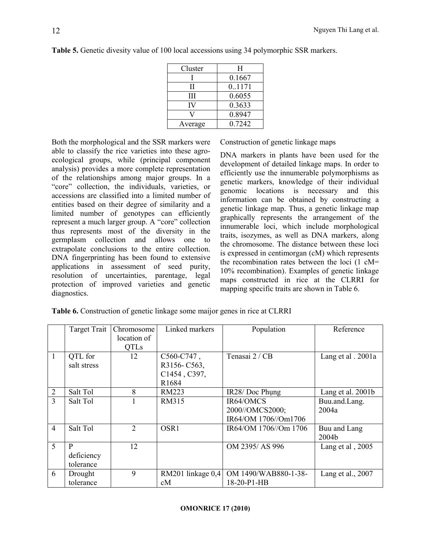| Cluster | H      |
|---------|--------|
|         | 0.1667 |
| П       | 0.1171 |
| Ш       | 0.6055 |
| IV      | 0.3633 |
|         | 0.8947 |
| Average | 0.7242 |
|         |        |

Table 5. Genetic divesity value of 100 local accessions using 34 polymorphic SSR markers.

Both the morphological and the SSR markers were able to classify the rice varieties into these agroecological groups, while (principal component analysis) provides a more complete representation of the relationships among major groups. In a "core" collection, the individuals, varieties, or accessions are classified into a limited number of entities based on their degree of similarity and a limited number of genotypes can efficiently represent a much larger group. A "core" collection thus represents most of the diversity in the germplasm collection and allows one to extrapolate conclusions to the entire collection. DNA fingerprinting has been found to extensive applications in assessment of seed purity, resolution of uncertainties, parentage, legal protection of improved varieties and genetic diagnostics.

Construction of genetic linkage maps

DNA markers in plants have been used for the development of detailed linkage maps. In order to efficiently use the innumerable polymorphisms as genetic markers, knowledge of their individual genomic locations is necessary and this information can be obtained by constructing a genetic linkage map. Thus, a genetic linkage map graphically represents the arrangement of the innumerable loci, which include morphological traits, isozymes, as well as DNA markers, along the chromosome. The distance between these loci is expressed in centimorgan (cM) which represents the recombination rates between the loci (1 cM= 10% recombination). Examples of genetic linkage maps constructed in rice at the CLRRI for mapping specific traits are shown in Table 6.

|  | Table 6. Construction of genetic linkage some maijor genes in rice at CLRRI |  |  |
|--|-----------------------------------------------------------------------------|--|--|
|  |                                                                             |  |  |

|                | Target Trait | Chromosome     | Linked markers      | Population            | Reference          |
|----------------|--------------|----------------|---------------------|-----------------------|--------------------|
|                |              | location of    |                     |                       |                    |
|                |              | <b>QTLs</b>    |                     |                       |                    |
| $\mathbf{1}$   | QTL for      | 12             | $C560-C747$ ,       | Tenasai 2 / CB        | Lang et al . 2001a |
|                | salt stress  |                | R3156-C563,         |                       |                    |
|                |              |                | C1454, C397,        |                       |                    |
|                |              |                | R1684               |                       |                    |
| $\overline{2}$ | Salt Tol     | 8              | <b>RM223</b>        | IR28/Doc Phung        | Lang et al. 2001b  |
| 3              | Salt Tol     |                | RM315               | IR64/OMCS             | Buu.and.Lang.      |
|                |              |                |                     | 2000//OMCS2000;       | 2004a              |
|                |              |                |                     | IR64/OM 1706//Om1706  |                    |
| $\overline{4}$ | Salt Tol     | $\overline{2}$ | OSR1                | IR64/OM 1706//Om 1706 | Buu and Lang       |
|                |              |                |                     |                       | 2004b              |
| $\overline{5}$ | P            | 12             |                     | OM 2395/AS 996        | Lang et al, 2005   |
|                | deficiency   |                |                     |                       |                    |
|                | tolerance    |                |                     |                       |                    |
| 6              | Drought      | 9              | RM201 linkage $0,4$ | OM 1490/WAB880-1-38-  | Lang et al., 2007  |
|                | tolerance    |                | cM                  | 18-20-P1-HB           |                    |

#### OMONRICE 17 (2010)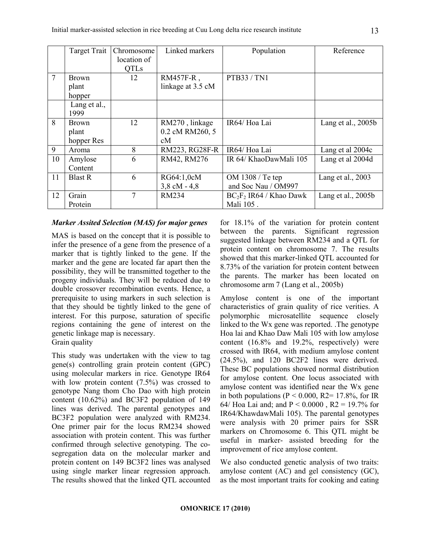|                | Target Trait         | Chromosome<br>location of<br><b>QTLs</b> | Linked markers         | Population                 | Reference            |
|----------------|----------------------|------------------------------------------|------------------------|----------------------------|----------------------|
| $\overline{7}$ | <b>Brown</b>         | 12                                       | $RM457F-R$ ,           | PTB33 / TN1                |                      |
|                | plant                |                                          | linkage at 3.5 cM      |                            |                      |
|                | hopper               |                                          |                        |                            |                      |
|                | Lang et al.,<br>1999 |                                          |                        |                            |                      |
| 8              | <b>Brown</b>         | 12                                       | RM270, linkage         | IR64/Hoa Lai               | Lang et al., $2005b$ |
|                | plant                |                                          | 0.2 cM RM260, 5        |                            |                      |
|                | hopper Res           |                                          | cM                     |                            |                      |
| 9              | Aroma                | 8                                        | RM223, RG28F-R         | IR64/Hoa Lai               | Lang et al 2004c     |
| 10             | Amylose              | 6                                        | RM42, RM276            | IR 64/ KhaoDawMali 105     | Lang et al 2004d     |
|                | Content              |                                          |                        |                            |                      |
| 11             | <b>Blast R</b>       | 6                                        | RG64:1,0cM             | OM 1308 / Te tep           | Lang et al., 2003    |
|                |                      |                                          | $3,8 \text{ cM} - 4,8$ | and Soc Nau / OM997        |                      |
| 12             | Grain                | 7                                        | <b>RM234</b>           | $BC_2F_2$ IR64 / Khao Dawk | Lang et al., $2005b$ |
|                | Protein              |                                          |                        | Mali 105.                  |                      |

#### Marker Assited Selection (MAS) for major genes

MAS is based on the concept that it is possible to infer the presence of a gene from the presence of a marker that is tightly linked to the gene. If the marker and the gene are located far apart then the possibility, they will be transmitted together to the progeny individuals. They will be reduced due to double crossover recombination events. Hence, a prerequisite to using markers in such selection is that they should be tightly linked to the gene of interest. For this purpose, saturation of specific regions containing the gene of interest on the genetic linkage map is necessary. Grain quality

This study was undertaken with the view to tag gene(s) controlling grain protein content (GPC) using molecular markers in rice. Genotype IR64 with low protein content (7.5%) was crossed to genotype Nang thom Cho Dao with high protein content (10.62%) and BC3F2 population of 149 lines was derived. The parental genotypes and BC3F2 population were analyzed with RM234. One primer pair for the locus RM234 showed association with protein content. This was further confirmed through selective genotyping. The cosegregation data on the molecular marker and protein content on 149 BC3F2 lines was analysed using single marker linear regression approach. The results showed that the linked QTL accounted for 18.1% of the variation for protein content between the parents. Significant regression suggested linkage between RM234 and a QTL for protein content on chromosome 7. The results showed that this marker-linked QTL accounted for 8.73% of the variation for protein content between the parents. The marker has been located on chromosome arm 7 (Lang et al., 2005b)

Amylose content is one of the important characteristics of grain quality of rice verities. A polymorphic microsatellite sequence closely linked to the Wx gene was reported. .The genotype Hoa lai and Khao Daw Mali 105 with low amylose content (16.8% and 19.2%, respectively) were crossed with IR64, with medium amylose content (24.5%), and 120 BC2F2 lines were derived. These BC populations showed normal distribution for amylose content. One locus associated with amylose content was identified near the Wx gene in both populations ( $P \le 0.000$ ,  $R2 = 17.8\%$ , for IR 64/ Hoa Lai and; and  $P < 0.0000$ ,  $R2 = 19.7%$  for IR64/KhawdawMali 105). The parental genotypes were analysis with 20 primer pairs for SSR markers on Chromosome 6. This QTL might be useful in marker- assisted breeding for the improvement of rice amylose content.

We also conducted genetic analysis of two traits: amylose content (AC) and gel consistency (GC), as the most important traits for cooking and eating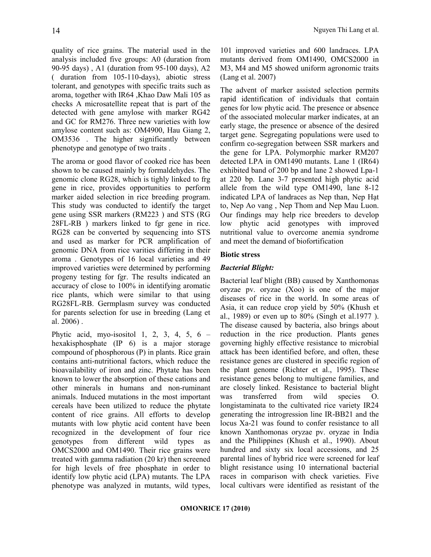quality of rice grains. The material used in the analysis included five groups: A0 (duration from 90-95 days) , A1 (duration from 95-100 days), A2 ( duration from 105-110-days), abiotic stress tolerant, and genotypes with specific traits such as aroma, together with IR64 ,Khao Daw Mali 105 as checks A microsatellite repeat that is part of the detected with gene amylose with marker RG42 and GC for RM276. Three new varieties with low amylose content such as: OM4900, Hau Giang 2, OM3536 . The higher significantly between phenotype and genotype of two traits .

The aroma or good flavor of cooked rice has been shown to be caused mainly by formaldehydes. The genomic clone RG28, which is tighly linked to frg gene in rice, provides opportunities to perform marker aided selection in rice breeding program. This study was conducted to identify the target gene using SSR markers (RM223 ) and STS (RG 28FL-RB ) markers linked to fgr gene in rice. RG28 can be converted by sequencing into STS and used as marker for PCR amplification of genomic DNA from rice varities differing in their aroma . Genotypes of 16 local varieties and 49 improved varieties were determined by performing progeny testing for fgr. The results indicated an accuracy of close to 100% in identifying aromatic rice plants, which were similar to that using RG28FL-RB. Germplasm survey was conducted for parents selection for use in breeding (Lang et al. 2006) .

Phytic acid, myo-isositol 1, 2, 3, 4, 5,  $6$ hexakisphosphate (IP 6) is a major storage compound of phosphorous (P) in plants. Rice grain contains anti-nutritional factors, which reduce the bioavailability of iron and zinc. Phytate has been known to lower the absorption of these cations and other minerals in humans and non-ruminant animals. Induced mutations in the most important cereals have been utilized to reduce the phytate content of rice grains. All efforts to develop mutants with low phytic acid content have been recognized in the development of four rice genotypes from different wild types as OMCS2000 and OM1490. Their rice grains were treated with gamma radiation (20 kr) then screened for high levels of free phosphate in order to identify low phytic acid (LPA) mutants. The LPA phenotype was analyzed in mutants, wild types, 101 improved varieties and 600 landraces. LPA mutants derived from OM1490, OMCS2000 in M3, M4 and M5 showed uniform agronomic traits (Lang et al. 2007)

The advent of marker assisted selection permits rapid identification of individuals that contain genes for low phytic acid. The presence or absence of the associated molecular marker indicates, at an early stage, the presence or absence of the desired target gene. Segregating populations were used to confirm co-segregation between SSR markers and the gene for LPA. Polymorphic marker RM207 detected LPA in OM1490 mutants. Lane 1 (IR64) exhibited band of 200 bp and lane 2 showed Lpa-1 at 220 bp. Lane 3-7 presented high phytic acid allele from the wild type OM1490, lane 8-12 indicated LPA of landraces as Nep than, Nep Hạt to, Nep Ao vang , Nep Thom and Nep Mau Luon. Our findings may help rice breeders to develop low phytic acid genotypes with improved nutritional value to overcome anemia syndrome and meet the demand of biofortification

### Biotic stress

## Bacterial Blight:

Bacterial leaf blight (BB) caused by Xanthomonas oryzae pv. oryzae (Xoo) is one of the major diseases of rice in the world. In some areas of Asia, it can reduce crop yield by 50% (Khush et al., 1989) or even up to 80% (Singh et al.1977 ). The disease caused by bacteria, also brings about reduction in the rice production. Plants genes governing highly effective resistance to microbial attack has been identified before, and often, these resistance genes are clustered in specific region of the plant genome (Richter et al., 1995). These resistance genes belong to multigene families, and are closely linked. Resistance to bacterial blight was transferred from wild species O. longistaminata to the cultivated rice variety IR24 generating the introgression line IR-BB21 and the locus Xa-21 was found to confer resistance to all known Xanthomonas oryzae pv. oryzae in India and the Philippines (Khush et al., 1990). About hundred and sixty six local accessions, and 25 parental lines of hybrid rice were screened for leaf blight resistance using 10 international bacterial races in comparison with check varieties. Five local cultivars were identified as resistant of the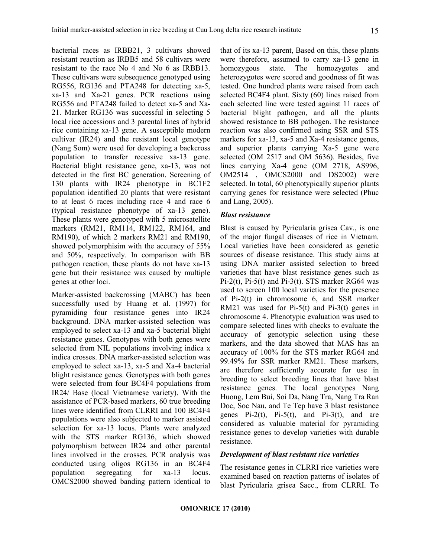bacterial races as IRBB21, 3 cultivars showed resistant reaction as IRBB5 and 58 cultivars were resistant to the race No 4 and No 6 as IRBB13. These cultivars were subsequence genotyped using RG556, RG136 and PTA248 for detecting xa-5, xa-13 and Xa-21 genes. PCR reactions using RG556 and PTA248 failed to detect xa-5 and Xa-21. Marker RG136 was successful in selecting 5 local rice accessions and 3 parental lines of hybrid rice containing xa-13 gene. A susceptible modern cultivar (IR24) and the resistant local genotype (Nang Som) were used for developing a backcross population to transfer recessive xa-13 gene. Bacterial blight resistance gene, xa-13, was not detected in the first BC generation. Screening of 130 plants with IR24 phenotype in BC1F2 population identified 20 plants that were resistant to at least 6 races including race 4 and race 6 (typical resistance phenotype of xa-13 gene). These plants were genotyped with 5 microsatellite markers (RM21, RM114, RM122, RM164, and RM190), of which 2 markers RM21 and RM190, showed polymorphisim with the accuracy of 55% and 50%, respectively. In comparison with BB pathogen reaction, these plants do not have xa-13 gene but their resistance was caused by multiple genes at other loci.

Marker-assisted backcrossing (MABC) has been successfully used by Huang et al. (1997) for pyramiding four resistance genes into IR24 background. DNA marker-assisted selection was employed to select xa-13 and xa-5 bacterial blight resistance genes. Genotypes with both genes were selected from NIL populations involving indica x indica crosses. DNA marker-assisted selection was employed to select xa-13, xa-5 and Xa-4 bacterial blight resistance genes. Genotypes with both genes were selected from four BC4F4 populations from IR24/ Base (local Vietnamese variety). With the assistance of PCR-based markers, 60 true breeding lines were identified from CLRRI and 100 BC4F4 populations were also subjected to marker assisted selection for xa-13 locus. Plants were analyzed with the STS marker RG136, which showed polymorphism between IR24 and other parental lines involved in the crosses. PCR analysis was conducted using oligos RG136 in an BC4F4 population segregating for xa-13 locus. OMCS2000 showed banding pattern identical to that of its xa-13 parent, Based on this, these plants were therefore, assumed to carry xa-13 gene in homozygous state. The homozygotes and heterozygotes were scored and goodness of fit was tested. One hundred plants were raised from each selected BC4F4 plant. Sixty (60) lines raised from each selected line were tested against 11 races of bacterial blight pathogen, and all the plants showed resistance to BB pathogen. The resistance reaction was also confirmed using SSR and STS markers for xa-13, xa-5 and Xa-4 resistance genes, and superior plants carrying Xa-5 gene were selected (OM 2517 and OM 5636). Besides, five lines carrying Xa-4 gene (OM 2718, AS996, OM2514 , OMCS2000 and DS2002) were selected. In total, 60 phenotypically superior plants carrying genes for resistance were selected (Phuc and Lang, 2005).

#### Blast resistance

Blast is caused by Pyricularia grisea Cav., is one of the major fungal diseases of rice in Vietnam. Local varieties have been considered as genetic sources of disease resistance. This study aims at using DNA marker assisted selection to breed varieties that have blast resistance genes such as Pi-2(t), Pi-5(t) and Pi-3(t). STS marker RG64 was used to screen 100 local varieties for the presence of Pi-2(t) in chromosome 6, and SSR marker RM21 was used for Pi-5(t) and Pi-3(t) genes in chromosome 4. Phenotypic evaluation was used to compare selected lines with checks to evaluate the accuracy of genotypic selection using these markers, and the data showed that MAS has an accuracy of 100% for the STS marker RG64 and 99.49% for SSR marker RM21. These markers, are therefore sufficiently accurate for use in breeding to select breeding lines that have blast resistance genes. The local genotypes Nang Huong, Lem Bui, Soi Da, Nang Tra, Nang Tra Ran Doc, Soc Nau, and Te Tep have 3 blast resistance genes  $Pi-2(t)$ ,  $Pi-5(t)$ , and  $Pi-3(t)$ , and are considered as valuable material for pyramiding resistance genes to develop varieties with durable resistance.

#### Development of blast resistant rice varieties

The resistance genes in CLRRI rice varieties were examined based on reaction patterns of isolates of blast Pyricularia grisea Sacc., from CLRRI. To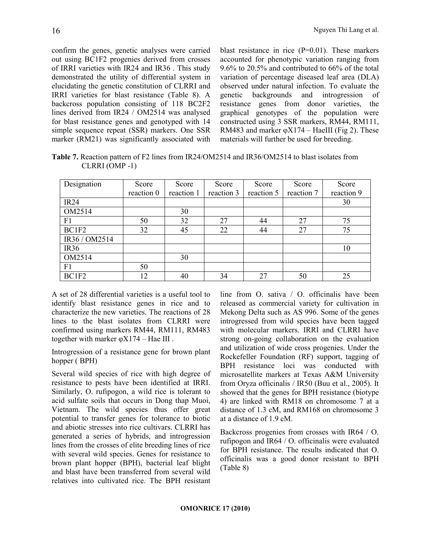confirm the genes, genetic analyses were carried out using BC1F2 progenies derived from crosses of IRRI varieties with IR24 and IR36 . This study demonstrated the utility of differential system in elucidating the genetic constitution of CLRRI and IRRI varieties for blast resistance (Table 8). A backcross population consisting of 118 BC2F2 lines derived from IR24 / OM2514 was analysed for blast resistance genes and genotyped with 14 simple sequence repeat (SSR) markers. One SSR marker (RM21) was significantly associated with blast resistance in rice  $(P=0.01)$ . These markers accounted for phenotypic variation ranging from 9.6% to 20.5% and contributed to 66% of the total variation of percentage diseased leaf area (DLA) observed under natural infection. To evaluate the genetic backgrounds and introgression of resistance genes from donor varieties, the graphical genotypes of the population were constructed using 3 SSR markers, RM44, RM111, RM483 and marker  $\varphi$ X174 – HaeIII (Fig 2). These materials will further be used for breeding.

Table 7. Reaction pattern of F2 lines from IR24/OM2514 and IR36/OM2514 to blast isolates from CLRRI (OMP -1)

| Designation      | Score      | Score      | Score      | Score      | Score      | Score      |
|------------------|------------|------------|------------|------------|------------|------------|
|                  | reaction 0 | reaction 1 | reaction 3 | reaction 5 | reaction 7 | reaction 9 |
| <b>IR24</b>      |            |            |            |            |            | 30         |
| OM2514           |            | 30         |            |            |            |            |
| F1               | 50         | 32         | 27         | 44         | 27         | 75         |
| BC1F2            | 32         | 45         | 22         | 44         | 27         | 75         |
| IR36 / OM2514    |            |            |            |            |            |            |
| IR <sub>36</sub> |            |            |            |            |            | 10         |
| OM2514           |            | 30         |            |            |            |            |
| F <sub>1</sub>   | 50         |            |            |            |            |            |
| BC1F2            | 12         | 40         | 34         | 27         | 50         | 25         |

A set of 28 differential varieties is a useful tool to identify blast resistance genes in rice and to characterize the new varieties. The reactions of 28 lines to the blast isolates from CLRRI were confirmed using markers RM44, RM111, RM483 together with marker  $\varphi$ X174 – Hae III.

Introgression of a resistance gene for brown plant hopper ( BPH)

Several wild species of rice with high degree of resistance to pests have been identified at IRRI. Similarly, O. rufipogon, a wild rice is tolerant to acid sulfate soils that occurs in Dong thap Muoi, Vietnam. The wild species thus offer great potential to transfer genes for tolerance to biotic and abiotic stresses into rice cultivars. CLRRI has generated a series of hybrids, and introgression lines from the crosses of elite breeding lines of rice with several wild species. Genes for resistance to brown plant hopper (BPH), bacterial leaf blight and blast have been transferred from several wild relatives into cultivated rice. The BPH resistant line from O. sativa / O. officinalis have been released as commercial variety for cultivation in Mekong Delta such as AS 996. Some of the genes introgressed from wild species have been tagged with molecular markers. IRRI and CLRRI have strong on-going collaboration on the evaluation and utilization of wide cross progenies. Under the Rockefeller Foundation (RF) support, tagging of BPH resistance loci was conducted with microsatellite markers at Texas A&M University from Oryza officinalis / IR50 (Buu et al., 2005). It showed that the genes for BPH resistance (biotype 4) are linked with RM18 on chromosome 7 at a distance of 1.3 cM, and RM168 on chromosome 3 at a distance of 1.9 cM.

Backcross progenies from crosses with IR64 / O. rufipogon and IR64 / O. officinalis were evaluated for BPH resistance. The results indicated that O. officinalis was a good donor resistant to BPH (Table 8)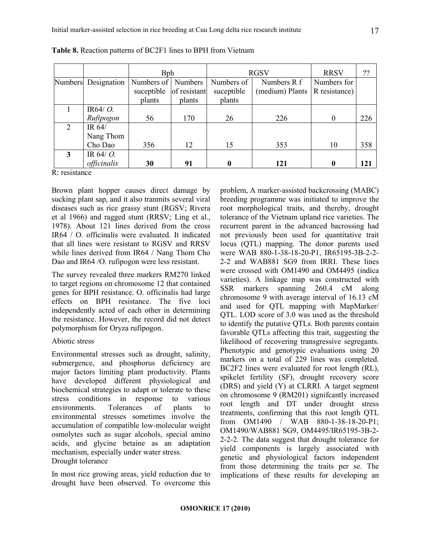|   |                     | <b>B</b> ph          |              | <b>RGSV</b> |                 | <b>RRSV</b>   | ??  |
|---|---------------------|----------------------|--------------|-------------|-----------------|---------------|-----|
|   | Numbers Designation | Numbers of   Numbers |              | Numbers of  | Numbers R f     | Numbers for   |     |
|   |                     | suceptible           | of resistant | suceptible  | (medium) Plants | R resistance) |     |
|   |                     | plants               | plants       | plants      |                 |               |     |
|   | IR64/ $O$ .         |                      |              |             |                 |               |     |
|   | Rufipogon           | 56                   | 170          | 26          | 226             | $\Omega$      | 226 |
| 2 | IR 64/              |                      |              |             |                 |               |     |
|   | Nang Thom           |                      |              |             |                 |               |     |
|   | Cho Dao             | 356                  | 12           | 15          | 353             | 10            | 358 |
| 3 | IR 64/ $O$ .        |                      |              |             |                 |               |     |
|   | officinalis         | 30                   | 91           |             | 121             |               | 121 |

Table 8. Reaction patterns of BC2F1 lines to BPH from Vietnam

R: resistance

Brown plant hopper causes direct damage by sucking plant sap, and it also tranmits several viral diseases such as rice grassy stunt (RGSV; Rivera et al 1966) and ragged stunt (RRSV; Ling et al., 1978). About 121 lines derived from the cross IR64 / O. officinalis were evaluated. It indicated that all lines were resistant to RGSV and RRSV while lines derived from IR64 / Nang Thom Cho Dao and IR64 /O. rufipogon were less resistant.

The survey revealed three markers RM270 linked to target regions on chromosome 12 that contained genes for BPH resistance. O. officinalis had large effects on BPH resistance. The five loci independently acted of each other in determining the resistance. However, the record did not detect polymorphism for Oryza rufipogon.

#### Abiotic stress

Environmental stresses such as drought, salinity, submergence, and phosphorus deficiency are major factors limiting plant productivity. Plants have developed different physiological and biochemical strategies to adapt or tolerate to these stress conditions in response to various environments. Tolerances of plants to environmental stresses sometimes involve the accumulation of compatible low-molecular weight osmolytes such as sugar alcohols, special amino acids, and glycine betaine as an adaptation mechanism, especially under water stress. Drought tolerance

In most rice growing areas, yield reduction due to drought have been observed. To overcome this problem, A marker-assisted backcrossing (MABC) breeding programme was initiated to improve the root morphological traits, and thereby, drought tolerance of the Vietnam upland rice varieties. The recurrent parent in the advanced bacrossing had not previously been used for quantitative trait locus (QTL) mapping. The donor parents used were WAB 880-1-38-18-20-P1, IR65195-3B-2-2- 2-2 and WAB881 SG9 from IRRI. These lines were crossed with OM1490 and OM4495 (indica varieties). A linkage map was constructed with SSR markers spanning 260.4 cM along chromosome 9 with average interval of 16.13 cM and used for QTL mapping with MapMarker/ QTL. LOD score of 3.0 was used as the threshold to identify the putative QTLs. Both parents contain favorable QTLs affecting this trait, suggesting the likelihood of recovering transgressive segregants. Phenotypic and genotypic evaluations using 20 markers on a total of 229 lines was completed. BC2F2 lines were evaluated for root length (RL), spikelet fertility (SF), drought recovery score (DRS) and yield (Y) at CLRRI. A target segment on chromosome 9 (RM201) signifcantly increased root length and DT under drought stress treatments, confirming that this root length QTL from OM1490 / WAB 880-1-38-18-20-P1; OM1490/WAB881 SG9, OM4495/IR65195-3B-2- 2-2-2. The data suggest that drought tolerance for yield components is largely associated with genetic and physiological factors independent from those determining the traits per se. The implications of these results for developing an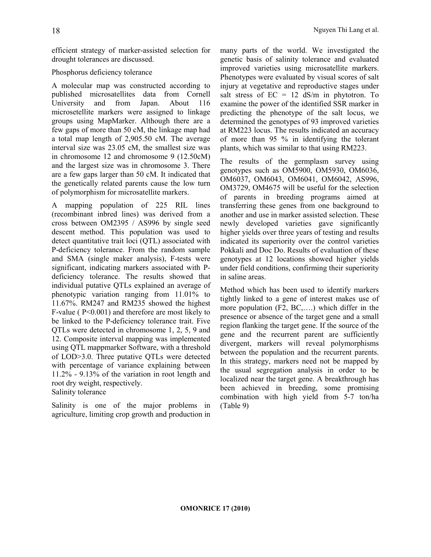efficient strategy of marker-assisted selection for drought tolerances are discussed.

## Phosphorus deficiency tolerance

A molecular map was constructed according to published microsatellites data from Cornell University and from Japan. About 116 microsetellite markers were assigned to linkage groups using MapMarker. Although there are a few gaps of more than 50 cM, the linkage map had a total map length of 2,905.50 cM. The average interval size was 23.05 cM, the smallest size was in chromosome 12 and chromosome 9 (12.50cM) and the largest size was in chromosome 3. There are a few gaps larger than 50 cM. It indicated that the genetically related parents cause the low turn of polymorphism for microsatellite markers.

A mapping population of 225 RIL lines (recombinant inbred lines) was derived from a cross between OM2395 / AS996 by single seed descent method. This population was used to detect quantitative trait loci (QTL) associated with P-deficiency tolerance. From the random sample and SMA (single maker analysis), F-tests were significant, indicating markers associated with Pdeficiency tolerance. The results showed that individual putative QTLs explained an average of phenotypic variation ranging from 11.01% to 11.67%. RM247 and RM235 showed the highest F-value ( P<0.001) and therefore are most likely to be linked to the P-deficiency tolerance trait. Five QTLs were detected in chromosome 1, 2, 5, 9 and 12. Composite interval mapping was implemented using QTL mappmarker Software, with a threshold of LOD>3.0. Three putative QTLs were detected with percentage of variance explaining between 11.2% - 9.13% of the variation in root length and root dry weight, respectively. Salinity tolerance

Salinity is one of the major problems in agriculture, limiting crop growth and production in many parts of the world. We investigated the genetic basis of salinity tolerance and evaluated improved varieties using microsatellite markers. Phenotypes were evaluated by visual scores of salt injury at vegetative and reproductive stages under salt stress of  $EC = 12$  dS/m in phytotron. To examine the power of the identified SSR marker in predicting the phenotype of the salt locus, we determined the genotypes of 93 improved varieties at RM223 locus. The results indicated an accuracy of more than 95 % in identifying the tolerant plants, which was similar to that using RM223.

The results of the germplasm survey using genotypes such as OM5900, OM5930, OM6036, OM6037, OM6043, OM6041, OM6042, AS996, OM3729, OM4675 will be useful for the selection of parents in breeding programs aimed at transferring these genes from one background to another and use in marker assisted selection. These newly developed varieties gave significantly higher yields over three years of testing and results indicated its superiority over the control varieties Pokkali and Doc Do. Results of evaluation of these genotypes at 12 locations showed higher yields under field conditions, confirming their superiority in saline areas.

Method which has been used to identify markers tightly linked to a gene of interest makes use of more population (F2, BC,….) which differ in the presence or absence of the target gene and a small region flanking the target gene. If the source of the gene and the recurrent parent are sufficiently divergent, markers will reveal polymorphisms between the population and the recurrent parents. In this strategy, markers need not be mapped by the usual segregation analysis in order to be localized near the target gene. A breakthrough has been achieved in breeding, some promising combination with high yield from 5-7 ton/ha (Table 9)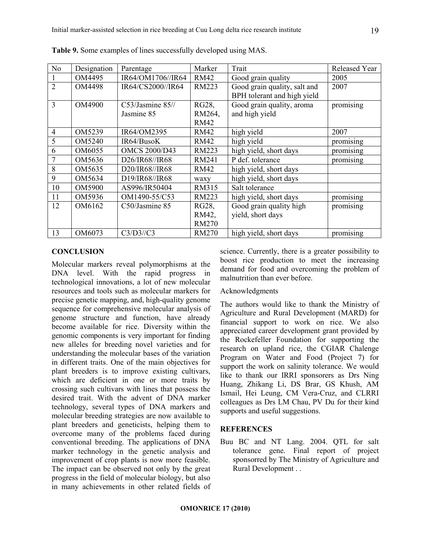| N <sub>o</sub> | Designation | Parentage            | Marker       | Trait                        | Released Year |
|----------------|-------------|----------------------|--------------|------------------------------|---------------|
|                | OM4495      | IR64/OM1706//IR64    | <b>RM42</b>  | Good grain quality           | 2005          |
| $\mathfrak{D}$ | OM4498      | IR64/CS2000//IR64    | RM223        | Good grain quality, salt and | 2007          |
|                |             |                      |              | BPH tolerant and high yield  |               |
| 3              | OM4900      | C53/Jasmine 85//     | RG28,        | Good grain quality, aroma    | promising     |
|                |             | Jasmine 85           | RM264,       | and high yield               |               |
|                |             |                      | <b>RM42</b>  |                              |               |
| $\overline{4}$ | OM5239      | IR64/OM2395          | RM42         | high yield                   | 2007          |
| 5              | OM5240      | IR64/BusoK           | RM42         | high yield                   | promising     |
| 6              | OM6055      | <b>OMCS 2000/D43</b> | RM223        | high yield, short days       | promising     |
|                | OM5636      | D26/IR68//IR68       | <b>RM241</b> | P def. tolerance             | promising     |
| 8              | OM5635      | D20/IR68//IR68       | RM42         | high yield, short days       |               |
| 9              | OM5634      | D19/IR68//IR68       | waxy         | high yield, short days       |               |
| 10             | OM5900      | AS996/IR50404        | RM315        | Salt tolerance               |               |
| 11             | OM5936      | OM1490-55/C53        | RM223        | high yield, short days       | promising     |
| 12             | OM6162      | C50/Jasmine 85       | RG28,        | Good grain quality high      | promising     |
|                |             |                      | RM42,        | yield, short days            |               |
|                |             |                      | <b>RM270</b> |                              |               |
| 13             | OM6073      | C3/D3//C3            | <b>RM270</b> | high yield, short days       | promising     |

Table 9. Some examples of lines successfully developed using MAS.

### **CONCLUSION**

Molecular markers reveal polymorphisms at the DNA level. With the rapid progress in technological innovations, a lot of new molecular resources and tools such as molecular markers for precise genetic mapping, and, high-quality genome sequence for comprehensive molecular analysis of genome structure and function, have already become available for rice. Diversity within the genomic components is very important for finding new alleles for breeding novel varieties and for understanding the molecular bases of the variation in different traits. One of the main objectives for plant breeders is to improve existing cultivars, which are deficient in one or more traits by crossing such cultivars with lines that possess the desired trait. With the advent of DNA marker technology, several types of DNA markers and molecular breeding strategies are now available to plant breeders and geneticists, helping them to overcome many of the problems faced during conventional breeding. The applications of DNA marker technology in the genetic analysis and improvement of crop plants is now more feasible. The impact can be observed not only by the great progress in the field of molecular biology, but also in many achievements in other related fields of science. Currently, there is a greater possibility to boost rice production to meet the increasing demand for food and overcoming the problem of malnutrition than ever before.

#### Acknowledgments

The authors would like to thank the Ministry of Agriculture and Rural Development (MARD) for financial support to work on rice. We also appreciated career development grant provided by the Rockefeller Foundation for supporting the research on upland rice, the CGIAR Chalenge Program on Water and Food (Project 7) for support the work on salinity tolerance. We would like to thank our IRRI sponsorers as Drs Ning Huang, Zhikang Li, DS Brar, GS Khush, AM Ismail, Hei Leung, CM Vera-Cruz, and CLRRI colleagues as Drs LM Chau, PV Du for their kind supports and useful suggestions.

### **REFERENCES**

Buu BC and NT Lang. 2004. QTL for salt tolerance gene. Final report of project sponsorred by The Ministry of Agriculture and Rural Development . .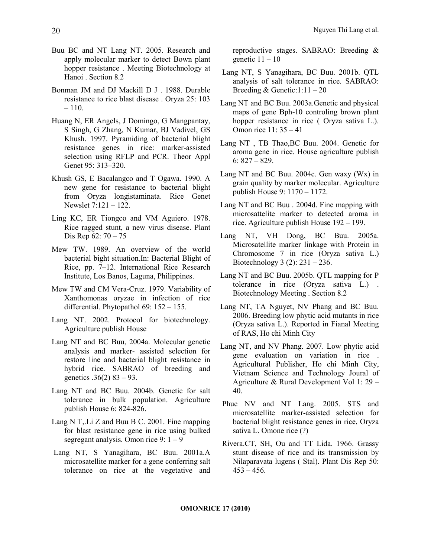- Buu BC and NT Lang NT. 2005. Research and apply molecular marker to detect Bown plant hopper resistance . Meeting Biotechnology at Hanoi . Section 8.2
- Bonman JM and DJ Mackill D J . 1988. Durable resistance to rice blast disease . Oryza 25: 103 – 110.
- Huang N, ER Angels, J Domingo, G Mangpantay, S Singh, G Zhang, N Kumar, BJ Vadivel, GS Khush. 1997. Pyramiding of bacterial blight resistance genes in rice: marker-assisted selection using RFLP and PCR. Theor Appl Genet 95: 313–320.
- Khush GS, E Bacalangco and T Ogawa. 1990. A new gene for resistance to bacterial blight from Oryza longistaminata. Rice Genet Newslet 7:121 – 122.
- Ling KC, ER Tiongco and VM Aguiero. 1978. Rice ragged stunt, a new virus disease. Plant Dis Rep 62: 70 – 75
- Mew TW. 1989. An overview of the world bacterial bight situation.In: Bacterial Blight of Rice, pp. 7–12. International Rice Research Institute, Los Banos, Laguna, Philippines.
- Mew TW and CM Vera-Cruz. 1979. Variability of Xanthomonas oryzae in infection of rice differential. Phytopathol 69: 152 – 155.
- Lang NT. 2002. Protocol for biotechnology. Agriculture publish House
- Lang NT and BC Buu, 2004a. Molecular genetic analysis and marker- assisted selection for restore line and bacterial blight resistance in hybrid rice. SABRAO of breeding and genetics  $.36(2)$  83 – 93.
- Lang NT and BC Buu. 2004b. Genetic for salt tolerance in bulk population. Agriculture publish House 6: 824-826.
- Lang N T,.Li Z and Buu B C. 2001. Fine mapping for blast resistance gene in rice using bulked segregant analysis. Omon rice 9:  $1 - 9$
- Lang NT, S Yanagihara, BC Buu. 2001a.A microsatellite marker for a gene conferring salt tolerance on rice at the vegetative and

reproductive stages. SABRAO: Breeding & genetic  $11 - 10$ 

- Lang NT, S Yanagihara, BC Buu. 2001b. QTL analysis of salt tolerance in rice. SABRAO: Breeding & Genetic: $1:11 - 20$
- Lang NT and BC Buu. 2003a.Genetic and physical maps of gene Bph-10 controling brown plant hopper resistance in rice ( Oryza sativa L.). Omon rice 11: 35 – 41
- Lang NT , TB Thao,BC Buu. 2004. Genetic for aroma gene in rice. House agriculture publish 6:  $827 - 829$ .
- Lang NT and BC Buu. 2004c. Gen waxy (Wx) in grain quality by marker molecular. Agriculture publish House 9: 1170 – 1172.
- Lang NT and BC Buu . 2004d. Fine mapping with microsattelite marker to detected aroma in rice. Agriculture publish House 192 – 199.
- Lang NT, VH Dong, BC Buu. 2005a. Microsatellite marker linkage with Protein in Chromosome 7 in rice (Oryza sativa L.) Biotechnology 3 (2): 231 – 236.
- Lang NT and BC Buu. 2005b. QTL mapping for P tolerance in rice (Oryza sativa L.) . Biotechnology Meeting . Section 8.2
- Lang NT, TA Nguyet, NV Phang and BC Buu. 2006. Breeding low phytic acid mutants in rice (Oryza sativa L.). Reported in Fianal Meeting of RAS, Ho chi Minh City
- Lang NT, and NV Phang. 2007. Low phytic acid gene evaluation on variation in rice . Agricultural Publisher, Ho chi Minh City, Vietnam Science and Technology Joural of Agriculture & Rural Development Vol 1: 29 – 40.
- Phuc NV and NT Lang. 2005. STS and microsatellite marker-assisted selection for bacterial blight resistance genes in rice, Oryza sativa L. Omone rice (?)
- Rivera.CT, SH, Ou and TT Lida. 1966. Grassy stunt disease of rice and its transmission by Nilaparavata lugens ( Stal). Plant Dis Rep 50:  $453 - 456$ .